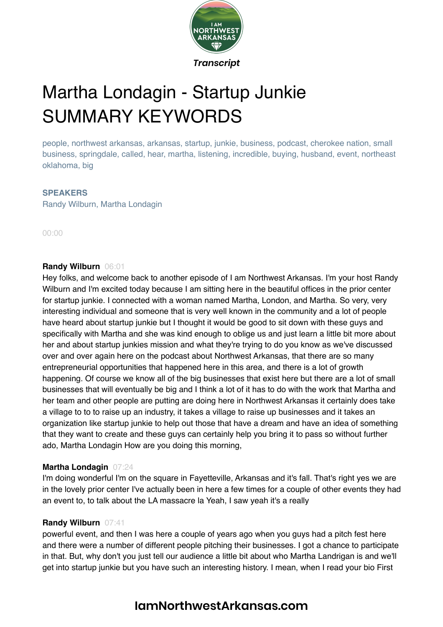

# Martha Londagin - Startup Junkie SUMMARY KEYWORDS

people, northwest arkansas, arkansas, startup, junkie, business, podcast, cherokee nation, small business, springdale, called, hear, martha, listening, incredible, buying, husband, event, northeast oklahoma, big

#### **SPEAKERS**

Randy Wilburn, Martha Londagin

00:00

#### **Randy Wilburn** 06:01

Hey folks, and welcome back to another episode of I am Northwest Arkansas. I'm your host Randy Wilburn and I'm excited today because I am sitting here in the beautiful offices in the prior center for startup junkie. I connected with a woman named Martha, London, and Martha. So very, very interesting individual and someone that is very well known in the community and a lot of people have heard about startup junkie but I thought it would be good to sit down with these guys and specifically with Martha and she was kind enough to oblige us and just learn a little bit more about her and about startup junkies mission and what they're trying to do you know as we've discussed over and over again here on the podcast about Northwest Arkansas, that there are so many entrepreneurial opportunities that happened here in this area, and there is a lot of growth happening. Of course we know all of the big businesses that exist here but there are a lot of small businesses that will eventually be big and I think a lot of it has to do with the work that Martha and her team and other people are putting are doing here in Northwest Arkansas it certainly does take a village to to to raise up an industry, it takes a village to raise up businesses and it takes an organization like startup junkie to help out those that have a dream and have an idea of something that they want to create and these guys can certainly help you bring it to pass so without further ado, Martha Londagin How are you doing this morning,

#### **Martha Londagin** 07:24

I'm doing wonderful I'm on the square in Fayetteville, Arkansas and it's fall. That's right yes we are in the lovely prior center I've actually been in here a few times for a couple of other events they had an event to, to talk about the LA massacre la Yeah, I saw yeah it's a really

#### **Randy Wilburn** 07:41

powerful event, and then I was here a couple of years ago when you guys had a pitch fest here and there were a number of different people pitching their businesses. I got a chance to participate in that. But, why don't you just tell our audience a little bit about who Martha Landrigan is and we'll get into startup junkie but you have such an interesting history. I mean, when I read your bio First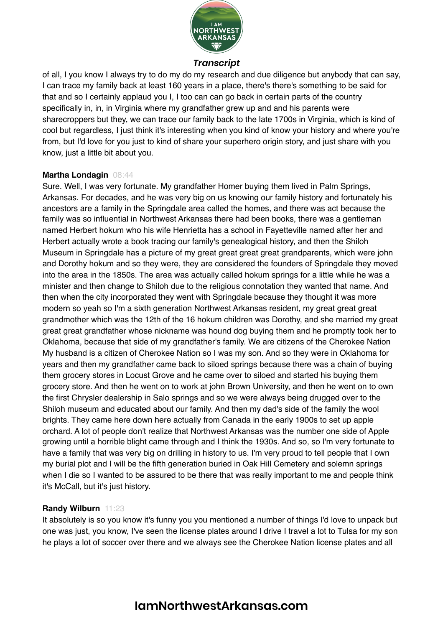

of all, I you know I always try to do my do my research and due diligence but anybody that can say, I can trace my family back at least 160 years in a place, there's there's something to be said for that and so I certainly applaud you I, I too can can go back in certain parts of the country specifically in, in, in Virginia where my grandfather grew up and and his parents were sharecroppers but they, we can trace our family back to the late 1700s in Virginia, which is kind of cool but regardless, I just think it's interesting when you kind of know your history and where you're from, but I'd love for you just to kind of share your superhero origin story, and just share with you know, just a little bit about you.

#### **Martha Londagin** 08:44

Sure. Well, I was very fortunate. My grandfather Homer buying them lived in Palm Springs, Arkansas. For decades, and he was very big on us knowing our family history and fortunately his ancestors are a family in the Springdale area called the homes, and there was act because the family was so influential in Northwest Arkansas there had been books, there was a gentleman named Herbert hokum who his wife Henrietta has a school in Fayetteville named after her and Herbert actually wrote a book tracing our family's genealogical history, and then the Shiloh Museum in Springdale has a picture of my great great great great grandparents, which were john and Dorothy hokum and so they were, they are considered the founders of Springdale they moved into the area in the 1850s. The area was actually called hokum springs for a little while he was a minister and then change to Shiloh due to the religious connotation they wanted that name. And then when the city incorporated they went with Springdale because they thought it was more modern so yeah so I'm a sixth generation Northwest Arkansas resident, my great great great grandmother which was the 12th of the 16 hokum children was Dorothy, and she married my great great great grandfather whose nickname was hound dog buying them and he promptly took her to Oklahoma, because that side of my grandfather's family. We are citizens of the Cherokee Nation My husband is a citizen of Cherokee Nation so I was my son. And so they were in Oklahoma for years and then my grandfather came back to siloed springs because there was a chain of buying them grocery stores in Locust Grove and he came over to siloed and started his buying them grocery store. And then he went on to work at john Brown University, and then he went on to own the first Chrysler dealership in Salo springs and so we were always being drugged over to the Shiloh museum and educated about our family. And then my dad's side of the family the wool brights. They came here down here actually from Canada in the early 1900s to set up apple orchard. A lot of people don't realize that Northwest Arkansas was the number one side of Apple growing until a horrible blight came through and I think the 1930s. And so, so I'm very fortunate to have a family that was very big on drilling in history to us. I'm very proud to tell people that I own my burial plot and I will be the fifth generation buried in Oak Hill Cemetery and solemn springs when I die so I wanted to be assured to be there that was really important to me and people think it's McCall, but it's just history.

# **Randy Wilburn** 11:23

It absolutely is so you know it's funny you you mentioned a number of things I'd love to unpack but one was just, you know, I've seen the license plates around I drive I travel a lot to Tulsa for my son he plays a lot of soccer over there and we always see the Cherokee Nation license plates and all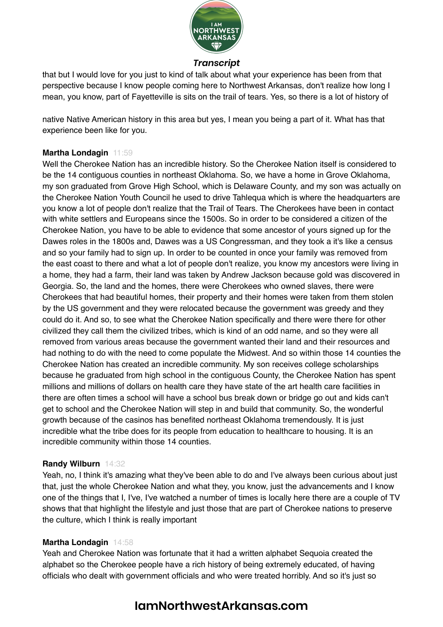

that but I would love for you just to kind of talk about what your experience has been from that perspective because I know people coming here to Northwest Arkansas, don't realize how long I mean, you know, part of Fayetteville is sits on the trail of tears. Yes, so there is a lot of history of

native Native American history in this area but yes, I mean you being a part of it. What has that experience been like for you.

# **Martha Londagin** 11:59

Well the Cherokee Nation has an incredible history. So the Cherokee Nation itself is considered to be the 14 contiguous counties in northeast Oklahoma. So, we have a home in Grove Oklahoma, my son graduated from Grove High School, which is Delaware County, and my son was actually on the Cherokee Nation Youth Council he used to drive Tahlequa which is where the headquarters are you know a lot of people don't realize that the Trail of Tears. The Cherokees have been in contact with white settlers and Europeans since the 1500s. So in order to be considered a citizen of the Cherokee Nation, you have to be able to evidence that some ancestor of yours signed up for the Dawes roles in the 1800s and, Dawes was a US Congressman, and they took a it's like a census and so your family had to sign up. In order to be counted in once your family was removed from the east coast to there and what a lot of people don't realize, you know my ancestors were living in a home, they had a farm, their land was taken by Andrew Jackson because gold was discovered in Georgia. So, the land and the homes, there were Cherokees who owned slaves, there were Cherokees that had beautiful homes, their property and their homes were taken from them stolen by the US government and they were relocated because the government was greedy and they could do it. And so, to see what the Cherokee Nation specifically and there were there for other civilized they call them the civilized tribes, which is kind of an odd name, and so they were all removed from various areas because the government wanted their land and their resources and had nothing to do with the need to come populate the Midwest. And so within those 14 counties the Cherokee Nation has created an incredible community. My son receives college scholarships because he graduated from high school in the contiguous County, the Cherokee Nation has spent millions and millions of dollars on health care they have state of the art health care facilities in there are often times a school will have a school bus break down or bridge go out and kids can't get to school and the Cherokee Nation will step in and build that community. So, the wonderful growth because of the casinos has benefited northeast Oklahoma tremendously. It is just incredible what the tribe does for its people from education to healthcare to housing. It is an incredible community within those 14 counties.

# **Randy Wilburn** 14:32

Yeah, no, I think it's amazing what they've been able to do and I've always been curious about just that, just the whole Cherokee Nation and what they, you know, just the advancements and I know one of the things that I, I've, I've watched a number of times is locally here there are a couple of TV shows that that highlight the lifestyle and just those that are part of Cherokee nations to preserve the culture, which I think is really important

#### **Martha Londagin** 14:58

Yeah and Cherokee Nation was fortunate that it had a written alphabet Sequoia created the alphabet so the Cherokee people have a rich history of being extremely educated, of having officials who dealt with government officials and who were treated horribly. And so it's just so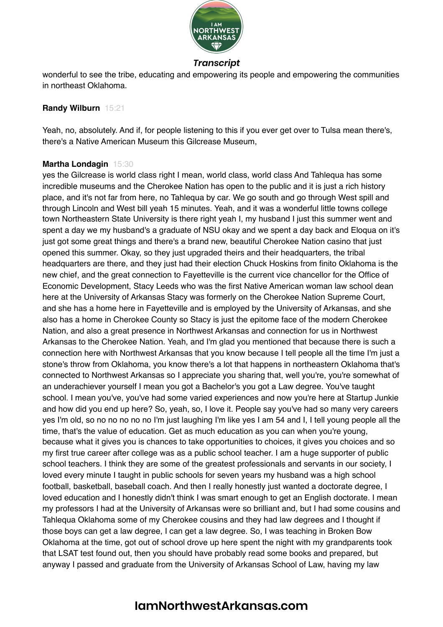

wonderful to see the tribe, educating and empowering its people and empowering the communities in northeast Oklahoma.

#### **Randy Wilburn** 15:21

Yeah, no, absolutely. And if, for people listening to this if you ever get over to Tulsa mean there's, there's a Native American Museum this Gilcrease Museum,

# **Martha Londagin** 15:30

yes the Gilcrease is world class right I mean, world class, world class And Tahlequa has some incredible museums and the Cherokee Nation has open to the public and it is just a rich history place, and it's not far from here, no Tahlequa by car. We go south and go through West spill and through Lincoln and West bill yeah 15 minutes. Yeah, and it was a wonderful little towns college town Northeastern State University is there right yeah I, my husband I just this summer went and spent a day we my husband's a graduate of NSU okay and we spent a day back and Eloqua on it's just got some great things and there's a brand new, beautiful Cherokee Nation casino that just opened this summer. Okay, so they just upgraded theirs and their headquarters, the tribal headquarters are there, and they just had their election Chuck Hoskins from finito Oklahoma is the new chief, and the great connection to Fayetteville is the current vice chancellor for the Office of Economic Development, Stacy Leeds who was the first Native American woman law school dean here at the University of Arkansas Stacy was formerly on the Cherokee Nation Supreme Court, and she has a home here in Fayetteville and is employed by the University of Arkansas, and she also has a home in Cherokee County so Stacy is just the epitome face of the modern Cherokee Nation, and also a great presence in Northwest Arkansas and connection for us in Northwest Arkansas to the Cherokee Nation. Yeah, and I'm glad you mentioned that because there is such a connection here with Northwest Arkansas that you know because I tell people all the time I'm just a stone's throw from Oklahoma, you know there's a lot that happens in northeastern Oklahoma that's connected to Northwest Arkansas so I appreciate you sharing that, well you're, you're somewhat of an underachiever yourself I mean you got a Bachelor's you got a Law degree. You've taught school. I mean you've, you've had some varied experiences and now you're here at Startup Junkie and how did you end up here? So, yeah, so, I love it. People say you've had so many very careers yes I'm old, so no no no no no I'm just laughing I'm like yes I am 54 and I, I tell young people all the time, that's the value of education. Get as much education as you can when you're young, because what it gives you is chances to take opportunities to choices, it gives you choices and so my first true career after college was as a public school teacher. I am a huge supporter of public school teachers. I think they are some of the greatest professionals and servants in our society, I loved every minute I taught in public schools for seven years my husband was a high school football, basketball, baseball coach. And then I really honestly just wanted a doctorate degree, I loved education and I honestly didn't think I was smart enough to get an English doctorate. I mean my professors I had at the University of Arkansas were so brilliant and, but I had some cousins and Tahlequa Oklahoma some of my Cherokee cousins and they had law degrees and I thought if those boys can get a law degree, I can get a law degree. So, I was teaching in Broken Bow Oklahoma at the time, got out of school drove up here spent the night with my grandparents took that LSAT test found out, then you should have probably read some books and prepared, but anyway I passed and graduate from the University of Arkansas School of Law, having my law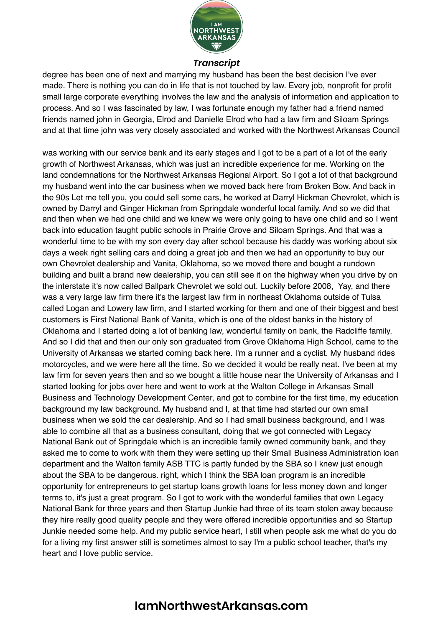

degree has been one of next and marrying my husband has been the best decision I've ever made. There is nothing you can do in life that is not touched by law. Every job, nonprofit for profit small large corporate everything involves the law and the analysis of information and application to process. And so I was fascinated by law, I was fortunate enough my father had a friend named friends named john in Georgia, Elrod and Danielle Elrod who had a law firm and Siloam Springs and at that time john was very closely associated and worked with the Northwest Arkansas Council

was working with our service bank and its early stages and I got to be a part of a lot of the early growth of Northwest Arkansas, which was just an incredible experience for me. Working on the land condemnations for the Northwest Arkansas Regional Airport. So I got a lot of that background my husband went into the car business when we moved back here from Broken Bow. And back in the 90s Let me tell you, you could sell some cars, he worked at Darryl Hickman Chevrolet, which is owned by Darryl and Ginger Hickman from Springdale wonderful local family. And so we did that and then when we had one child and we knew we were only going to have one child and so I went back into education taught public schools in Prairie Grove and Siloam Springs. And that was a wonderful time to be with my son every day after school because his daddy was working about six days a week right selling cars and doing a great job and then we had an opportunity to buy our own Chevrolet dealership and Vanita, Oklahoma, so we moved there and bought a rundown building and built a brand new dealership, you can still see it on the highway when you drive by on the interstate it's now called Ballpark Chevrolet we sold out. Luckily before 2008, Yay, and there was a very large law firm there it's the largest law firm in northeast Oklahoma outside of Tulsa called Logan and Lowery law firm, and I started working for them and one of their biggest and best customers is First National Bank of Vanita, which is one of the oldest banks in the history of Oklahoma and I started doing a lot of banking law, wonderful family on bank, the Radcliffe family. And so I did that and then our only son graduated from Grove Oklahoma High School, came to the University of Arkansas we started coming back here. I'm a runner and a cyclist. My husband rides motorcycles, and we were here all the time. So we decided it would be really neat. I've been at my law firm for seven years then and so we bought a little house near the University of Arkansas and I started looking for jobs over here and went to work at the Walton College in Arkansas Small Business and Technology Development Center, and got to combine for the first time, my education background my law background. My husband and I, at that time had started our own small business when we sold the car dealership. And so I had small business background, and I was able to combine all that as a business consultant, doing that we got connected with Legacy National Bank out of Springdale which is an incredible family owned community bank, and they asked me to come to work with them they were setting up their Small Business Administration loan department and the Walton family ASB TTC is partly funded by the SBA so I knew just enough about the SBA to be dangerous. right, which I think the SBA loan program is an incredible opportunity for entrepreneurs to get startup loans growth loans for less money down and longer terms to, it's just a great program. So I got to work with the wonderful families that own Legacy National Bank for three years and then Startup Junkie had three of its team stolen away because they hire really good quality people and they were offered incredible opportunities and so Startup Junkie needed some help. And my public service heart, I still when people ask me what do you do for a living my first answer still is sometimes almost to say I'm a public school teacher, that's my heart and I love public service.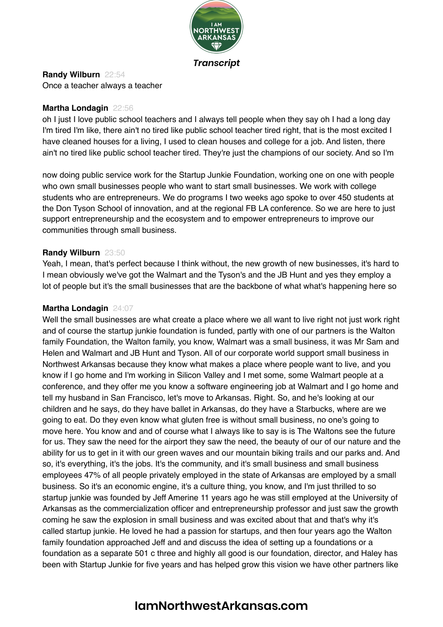

**Randy Wilburn** 22:54 Once a teacher always a teacher

#### **Martha Londagin** 22:56

oh I just I love public school teachers and I always tell people when they say oh I had a long day I'm tired I'm like, there ain't no tired like public school teacher tired right, that is the most excited I have cleaned houses for a living, I used to clean houses and college for a job. And listen, there ain't no tired like public school teacher tired. They're just the champions of our society. And so I'm

now doing public service work for the Startup Junkie Foundation, working one on one with people who own small businesses people who want to start small businesses. We work with college students who are entrepreneurs. We do programs I two weeks ago spoke to over 450 students at the Don Tyson School of innovation, and at the regional FB LA conference. So we are here to just support entrepreneurship and the ecosystem and to empower entrepreneurs to improve our communities through small business.

#### **Randy Wilburn** 23:50

Yeah, I mean, that's perfect because I think without, the new growth of new businesses, it's hard to I mean obviously we've got the Walmart and the Tyson's and the JB Hunt and yes they employ a lot of people but it's the small businesses that are the backbone of what what's happening here so

#### **Martha Londagin** 24:07

Well the small businesses are what create a place where we all want to live right not just work right and of course the startup junkie foundation is funded, partly with one of our partners is the Walton family Foundation, the Walton family, you know, Walmart was a small business, it was Mr Sam and Helen and Walmart and JB Hunt and Tyson. All of our corporate world support small business in Northwest Arkansas because they know what makes a place where people want to live, and you know if I go home and I'm working in Silicon Valley and I met some, some Walmart people at a conference, and they offer me you know a software engineering job at Walmart and I go home and tell my husband in San Francisco, let's move to Arkansas. Right. So, and he's looking at our children and he says, do they have ballet in Arkansas, do they have a Starbucks, where are we going to eat. Do they even know what gluten free is without small business, no one's going to move here. You know and and of course what I always like to say is is The Waltons see the future for us. They saw the need for the airport they saw the need, the beauty of our of our nature and the ability for us to get in it with our green waves and our mountain biking trails and our parks and. And so, it's everything, it's the jobs. It's the community, and it's small business and small business employees 47% of all people privately employed in the state of Arkansas are employed by a small business. So it's an economic engine, it's a culture thing, you know, and I'm just thrilled to so startup junkie was founded by Jeff Amerine 11 years ago he was still employed at the University of Arkansas as the commercialization officer and entrepreneurship professor and just saw the growth coming he saw the explosion in small business and was excited about that and that's why it's called startup junkie. He loved he had a passion for startups, and then four years ago the Walton family foundation approached Jeff and and discuss the idea of setting up a foundations or a foundation as a separate 501 c three and highly all good is our foundation, director, and Haley has been with Startup Junkie for five years and has helped grow this vision we have other partners like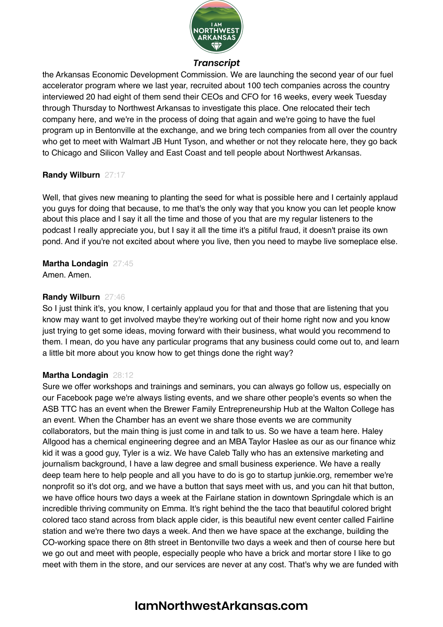

the Arkansas Economic Development Commission. We are launching the second year of our fuel accelerator program where we last year, recruited about 100 tech companies across the country interviewed 20 had eight of them send their CEOs and CFO for 16 weeks, every week Tuesday through Thursday to Northwest Arkansas to investigate this place. One relocated their tech company here, and we're in the process of doing that again and we're going to have the fuel program up in Bentonville at the exchange, and we bring tech companies from all over the country who get to meet with Walmart JB Hunt Tyson, and whether or not they relocate here, they go back to Chicago and Silicon Valley and East Coast and tell people about Northwest Arkansas.

#### **Randy Wilburn** 27:17

Well, that gives new meaning to planting the seed for what is possible here and I certainly applaud you guys for doing that because, to me that's the only way that you know you can let people know about this place and I say it all the time and those of you that are my regular listeners to the podcast I really appreciate you, but I say it all the time it's a pitiful fraud, it doesn't praise its own pond. And if you're not excited about where you live, then you need to maybe live someplace else.

# **Martha Londagin** 27:45

Amen. Amen.

#### **Randy Wilburn** 27:46

So I just think it's, you know, I certainly applaud you for that and those that are listening that you know may want to get involved maybe they're working out of their home right now and you know just trying to get some ideas, moving forward with their business, what would you recommend to them. I mean, do you have any particular programs that any business could come out to, and learn a little bit more about you know how to get things done the right way?

# **Martha Londagin** 28:12

Sure we offer workshops and trainings and seminars, you can always go follow us, especially on our Facebook page we're always listing events, and we share other people's events so when the ASB TTC has an event when the Brewer Family Entrepreneurship Hub at the Walton College has an event. When the Chamber has an event we share those events we are community collaborators, but the main thing is just come in and talk to us. So we have a team here. Haley Allgood has a chemical engineering degree and an MBA Taylor Haslee as our as our finance whiz kid it was a good guy, Tyler is a wiz. We have Caleb Tally who has an extensive marketing and journalism background, I have a law degree and small business experience. We have a really deep team here to help people and all you have to do is go to startup junkie.org, remember we're nonprofit so it's dot org, and we have a button that says meet with us, and you can hit that button, we have office hours two days a week at the Fairlane station in downtown Springdale which is an incredible thriving community on Emma. It's right behind the the taco that beautiful colored bright colored taco stand across from black apple cider, is this beautiful new event center called Fairline station and we're there two days a week. And then we have space at the exchange, building the CO-working space there on 8th street in Bentonville two days a week and then of course here but we go out and meet with people, especially people who have a brick and mortar store I like to go meet with them in the store, and our services are never at any cost. That's why we are funded with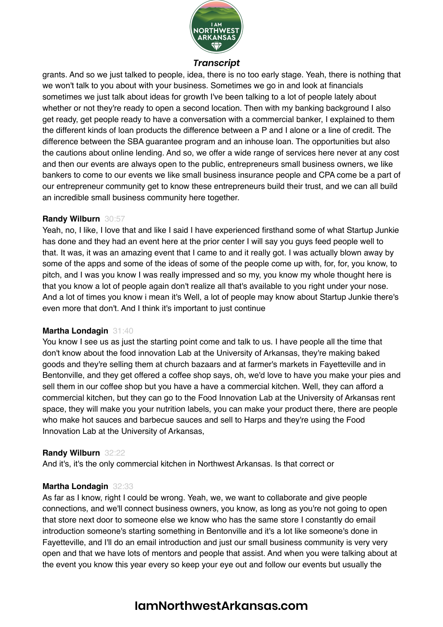

grants. And so we just talked to people, idea, there is no too early stage. Yeah, there is nothing that we won't talk to you about with your business. Sometimes we go in and look at financials sometimes we just talk about ideas for growth I've been talking to a lot of people lately about whether or not they're ready to open a second location. Then with my banking background I also get ready, get people ready to have a conversation with a commercial banker, I explained to them the different kinds of loan products the difference between a P and I alone or a line of credit. The difference between the SBA guarantee program and an inhouse loan. The opportunities but also the cautions about online lending. And so, we offer a wide range of services here never at any cost and then our events are always open to the public, entrepreneurs small business owners, we like bankers to come to our events we like small business insurance people and CPA come be a part of our entrepreneur community get to know these entrepreneurs build their trust, and we can all build an incredible small business community here together.

#### **Randy Wilburn** 30:57

Yeah, no, I like, I love that and like I said I have experienced firsthand some of what Startup Junkie has done and they had an event here at the prior center I will say you guys feed people well to that. It was, it was an amazing event that I came to and it really got. I was actually blown away by some of the apps and some of the ideas of some of the people come up with, for, for, you know, to pitch, and I was you know I was really impressed and so my, you know my whole thought here is that you know a lot of people again don't realize all that's available to you right under your nose. And a lot of times you know i mean it's Well, a lot of people may know about Startup Junkie there's even more that don't. And I think it's important to just continue

#### **Martha Londagin** 31:40

You know I see us as just the starting point come and talk to us. I have people all the time that don't know about the food innovation Lab at the University of Arkansas, they're making baked goods and they're selling them at church bazaars and at farmer's markets in Fayetteville and in Bentonville, and they get offered a coffee shop says, oh, we'd love to have you make your pies and sell them in our coffee shop but you have a have a commercial kitchen. Well, they can afford a commercial kitchen, but they can go to the Food Innovation Lab at the University of Arkansas rent space, they will make you your nutrition labels, you can make your product there, there are people who make hot sauces and barbecue sauces and sell to Harps and they're using the Food Innovation Lab at the University of Arkansas,

#### **Randy Wilburn** 32:22

And it's, it's the only commercial kitchen in Northwest Arkansas. Is that correct or

#### **Martha Londagin** 32:33

As far as I know, right I could be wrong. Yeah, we, we want to collaborate and give people connections, and we'll connect business owners, you know, as long as you're not going to open that store next door to someone else we know who has the same store I constantly do email introduction someone's starting something in Bentonville and it's a lot like someone's done in Fayetteville, and I'll do an email introduction and just our small business community is very very open and that we have lots of mentors and people that assist. And when you were talking about at the event you know this year every so keep your eye out and follow our events but usually the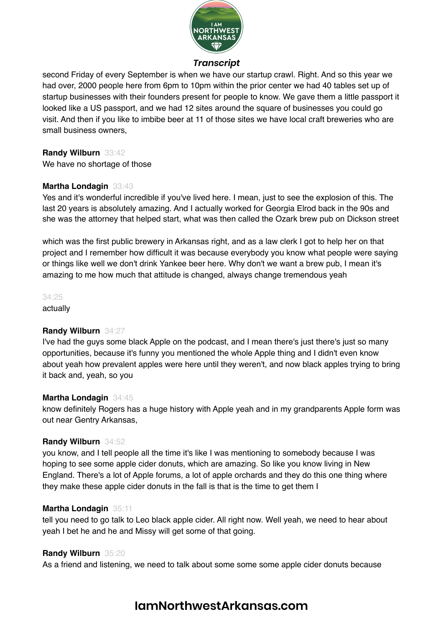

second Friday of every September is when we have our startup crawl. Right. And so this year we had over, 2000 people here from 6pm to 10pm within the prior center we had 40 tables set up of startup businesses with their founders present for people to know. We gave them a little passport it looked like a US passport, and we had 12 sites around the square of businesses you could go visit. And then if you like to imbibe beer at 11 of those sites we have local craft breweries who are small business owners,

#### **Randy Wilburn** 33:42

We have no shortage of those

#### **Martha Londagin** 33:43

Yes and it's wonderful incredible if you've lived here. I mean, just to see the explosion of this. The last 20 years is absolutely amazing. And I actually worked for Georgia Elrod back in the 90s and she was the attorney that helped start, what was then called the Ozark brew pub on Dickson street

which was the first public brewery in Arkansas right, and as a law clerk I got to help her on that project and I remember how difficult it was because everybody you know what people were saying or things like well we don't drink Yankee beer here. Why don't we want a brew pub, I mean it's amazing to me how much that attitude is changed, always change tremendous yeah

34:25

actually

# **Randy Wilburn** 34:27

I've had the guys some black Apple on the podcast, and I mean there's just there's just so many opportunities, because it's funny you mentioned the whole Apple thing and I didn't even know about yeah how prevalent apples were here until they weren't, and now black apples trying to bring it back and, yeah, so you

#### **Martha Londagin** 34:45

know definitely Rogers has a huge history with Apple yeah and in my grandparents Apple form was out near Gentry Arkansas,

#### **Randy Wilburn** 34:52

you know, and I tell people all the time it's like I was mentioning to somebody because I was hoping to see some apple cider donuts, which are amazing. So like you know living in New England. There's a lot of Apple forums, a lot of apple orchards and they do this one thing where they make these apple cider donuts in the fall is that is the time to get them I

#### **Martha Londagin** 35:11

tell you need to go talk to Leo black apple cider. All right now. Well yeah, we need to hear about yeah I bet he and he and Missy will get some of that going.

#### **Randy Wilburn** 35:20

As a friend and listening, we need to talk about some some some apple cider donuts because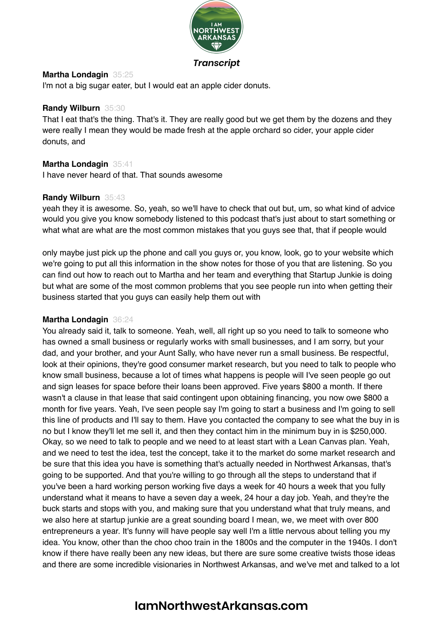

#### **Martha Londagin** 35:25

I'm not a big sugar eater, but I would eat an apple cider donuts.

#### **Randy Wilburn** 35:30

That I eat that's the thing. That's it. They are really good but we get them by the dozens and they were really I mean they would be made fresh at the apple orchard so cider, your apple cider donuts, and

#### **Martha Londagin** 35:41

I have never heard of that. That sounds awesome

#### **Randy Wilburn** 35:43

yeah they it is awesome. So, yeah, so we'll have to check that out but, um, so what kind of advice would you give you know somebody listened to this podcast that's just about to start something or what what are what are the most common mistakes that you guys see that, that if people would

only maybe just pick up the phone and call you guys or, you know, look, go to your website which we're going to put all this information in the show notes for those of you that are listening. So you can find out how to reach out to Martha and her team and everything that Startup Junkie is doing but what are some of the most common problems that you see people run into when getting their business started that you guys can easily help them out with

#### **Martha Londagin** 36:24

You already said it, talk to someone. Yeah, well, all right up so you need to talk to someone who has owned a small business or regularly works with small businesses, and I am sorry, but your dad, and your brother, and your Aunt Sally, who have never run a small business. Be respectful, look at their opinions, they're good consumer market research, but you need to talk to people who know small business, because a lot of times what happens is people will I've seen people go out and sign leases for space before their loans been approved. Five years \$800 a month. If there wasn't a clause in that lease that said contingent upon obtaining financing, you now owe \$800 a month for five years. Yeah, I've seen people say I'm going to start a business and I'm going to sell this line of products and I'll say to them. Have you contacted the company to see what the buy in is no but I know they'll let me sell it, and then they contact him in the minimum buy in is \$250,000. Okay, so we need to talk to people and we need to at least start with a Lean Canvas plan. Yeah, and we need to test the idea, test the concept, take it to the market do some market research and be sure that this idea you have is something that's actually needed in Northwest Arkansas, that's going to be supported. And that you're willing to go through all the steps to understand that if you've been a hard working person working five days a week for 40 hours a week that you fully understand what it means to have a seven day a week, 24 hour a day job. Yeah, and they're the buck starts and stops with you, and making sure that you understand what that truly means, and we also here at startup junkie are a great sounding board I mean, we, we meet with over 800 entrepreneurs a year. It's funny will have people say well I'm a little nervous about telling you my idea. You know, other than the choo choo train in the 1800s and the computer in the 1940s. I don't know if there have really been any new ideas, but there are sure some creative twists those ideas and there are some incredible visionaries in Northwest Arkansas, and we've met and talked to a lot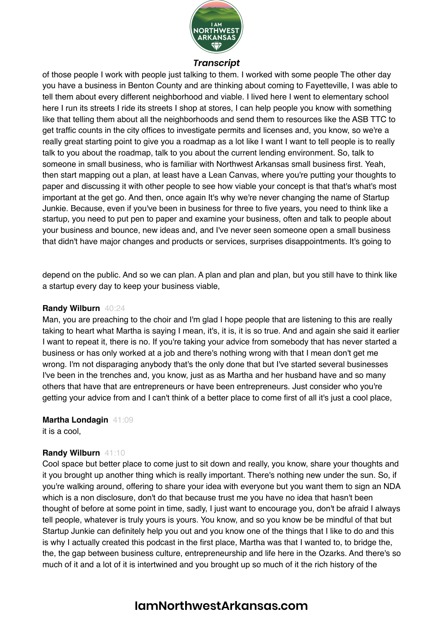

of those people I work with people just talking to them. I worked with some people The other day you have a business in Benton County and are thinking about coming to Fayetteville, I was able to tell them about every different neighborhood and viable. I lived here I went to elementary school here I run its streets I ride its streets I shop at stores, I can help people you know with something like that telling them about all the neighborhoods and send them to resources like the ASB TTC to get traffic counts in the city offices to investigate permits and licenses and, you know, so we're a really great starting point to give you a roadmap as a lot like I want I want to tell people is to really talk to you about the roadmap, talk to you about the current lending environment. So, talk to someone in small business, who is familiar with Northwest Arkansas small business first. Yeah, then start mapping out a plan, at least have a Lean Canvas, where you're putting your thoughts to paper and discussing it with other people to see how viable your concept is that that's what's most important at the get go. And then, once again It's why we're never changing the name of Startup Junkie. Because, even if you've been in business for three to five years, you need to think like a startup, you need to put pen to paper and examine your business, often and talk to people about your business and bounce, new ideas and, and I've never seen someone open a small business that didn't have major changes and products or services, surprises disappointments. It's going to

depend on the public. And so we can plan. A plan and plan and plan, but you still have to think like a startup every day to keep your business viable,

#### **Randy Wilburn** 40:24

Man, you are preaching to the choir and I'm glad I hope people that are listening to this are really taking to heart what Martha is saying I mean, it's, it is, it is so true. And and again she said it earlier I want to repeat it, there is no. If you're taking your advice from somebody that has never started a business or has only worked at a job and there's nothing wrong with that I mean don't get me wrong. I'm not disparaging anybody that's the only done that but I've started several businesses I've been in the trenches and, you know, just as as Martha and her husband have and so many others that have that are entrepreneurs or have been entrepreneurs. Just consider who you're getting your advice from and I can't think of a better place to come first of all it's just a cool place,

**Martha Londagin** 41:09

it is a cool,

#### **Randy Wilburn** 41:10

Cool space but better place to come just to sit down and really, you know, share your thoughts and it you brought up another thing which is really important. There's nothing new under the sun. So, if you're walking around, offering to share your idea with everyone but you want them to sign an NDA which is a non disclosure, don't do that because trust me you have no idea that hasn't been thought of before at some point in time, sadly, I just want to encourage you, don't be afraid I always tell people, whatever is truly yours is yours. You know, and so you know be be mindful of that but Startup Junkie can definitely help you out and you know one of the things that I like to do and this is why I actually created this podcast in the first place, Martha was that I wanted to, to bridge the, the, the gap between business culture, entrepreneurship and life here in the Ozarks. And there's so much of it and a lot of it is intertwined and you brought up so much of it the rich history of the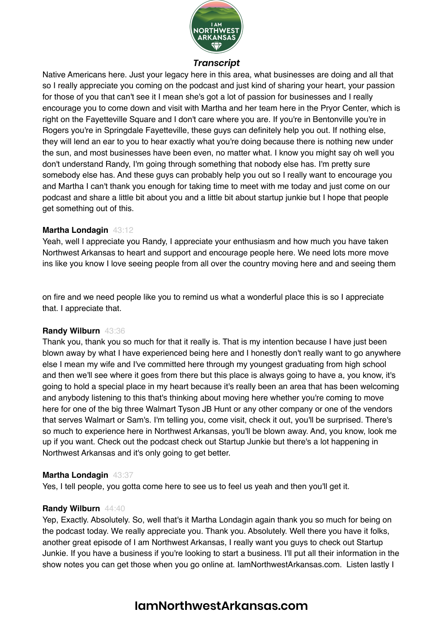

Native Americans here. Just your legacy here in this area, what businesses are doing and all that so I really appreciate you coming on the podcast and just kind of sharing your heart, your passion for those of you that can't see it I mean she's got a lot of passion for businesses and I really encourage you to come down and visit with Martha and her team here in the Pryor Center, which is right on the Fayetteville Square and I don't care where you are. If you're in Bentonville you're in Rogers you're in Springdale Fayetteville, these guys can definitely help you out. If nothing else, they will lend an ear to you to hear exactly what you're doing because there is nothing new under the sun, and most businesses have been even, no matter what. I know you might say oh well you don't understand Randy, I'm going through something that nobody else has. I'm pretty sure somebody else has. And these guys can probably help you out so I really want to encourage you and Martha I can't thank you enough for taking time to meet with me today and just come on our podcast and share a little bit about you and a little bit about startup junkie but I hope that people get something out of this.

#### **Martha Londagin** 43:12

Yeah, well I appreciate you Randy, I appreciate your enthusiasm and how much you have taken Northwest Arkansas to heart and support and encourage people here. We need lots more move ins like you know I love seeing people from all over the country moving here and and seeing them

on fire and we need people like you to remind us what a wonderful place this is so I appreciate that. I appreciate that.

#### **Randy Wilburn** 43:36

Thank you, thank you so much for that it really is. That is my intention because I have just been blown away by what I have experienced being here and I honestly don't really want to go anywhere else I mean my wife and I've committed here through my youngest graduating from high school and then we'll see where it goes from there but this place is always going to have a, you know, it's going to hold a special place in my heart because it's really been an area that has been welcoming and anybody listening to this that's thinking about moving here whether you're coming to move here for one of the big three Walmart Tyson JB Hunt or any other company or one of the vendors that serves Walmart or Sam's. I'm telling you, come visit, check it out, you'll be surprised. There's so much to experience here in Northwest Arkansas, you'll be blown away. And, you know, look me up if you want. Check out the podcast check out Startup Junkie but there's a lot happening in Northwest Arkansas and it's only going to get better.

#### **Martha Londagin** 43:37

Yes, I tell people, you gotta come here to see us to feel us yeah and then you'll get it.

#### **Randy Wilburn** 44:40

Yep, Exactly. Absolutely. So, well that's it Martha Londagin again thank you so much for being on the podcast today. We really appreciate you. Thank you. Absolutely. Well there you have it folks, another great episode of I am Northwest Arkansas, I really want you guys to check out Startup Junkie. If you have a business if you're looking to start a business. I'll put all their information in the show notes you can get those when you go online at. IamNorthwestArkansas.com. Listen lastly I